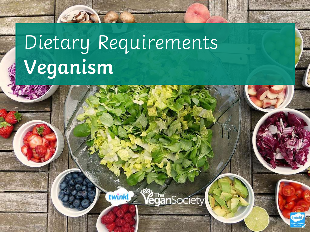# Dietary Requirements **Veganism**

twinkl

*Vegån<code>Society</code>* 

CERTIFICATION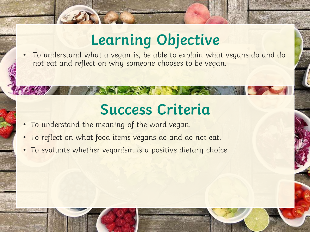# **Learning Objective**

• To understand what a vegan is, be able to explain what vegans do and do not eat and reflect on why someone chooses to be vegan.

### **Success Criteria**

- To understand the meaning of the word vegan.
- To reflect on what food items vegans do and do not eat.
- To evaluate whether veganism is a positive dietary choice.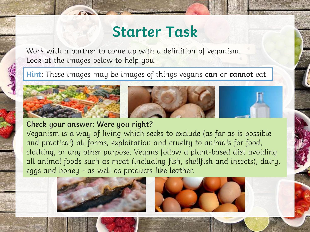### **Starter Task**

Work with a partner to come up with a definition of veganism. Look at the images below to help you.

**Hint**: These images may be images of things vegans **can** or **cannot** eat.



#### **Check your answer: Were you right?**

Veganism is a way of living which seeks to exclude (as far as is possible and practical) all forms, exploitation and cruelty to animals for food, clothing, or any other purpose. Vegans follow a plant-based diet avoiding all animal foods such as meat (including fish, shellfish and insects), dairy, eggs and honey - as well as products like leather.

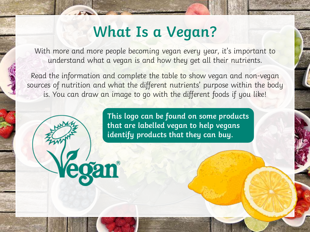### **What Is a Vegan?**

With more and more people becoming vegan every year, it's important to understand what a vegan is and how they get all their nutrients.

Read the information and complete the table to show vegan and non-vegan sources of nutrition and what the different nutrients' purpose within the body is. You can draw an image to go with the different foods if you like!

> **This logo can be found on some products that are labelled vegan to help vegans identify products that they can buy.**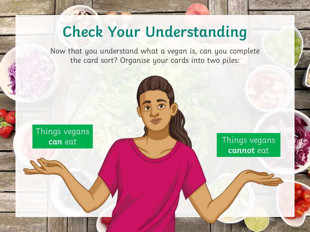# **Check Your Understanding**

Now that you understand what a vegan is, can you complete the card sort? Organise your cards into two piles:

Things vegans **can** eat

Things vegans **cannot** eat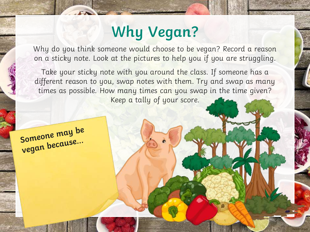# **Why Vegan?**

Why do you think someone would choose to be vegan? Record a reason on a sticky note. Look at the pictures to help you if you are struggling.

Take your sticky note with you around the class. If someone has a different reason to you, swap notes with them. Try and swap as many times as possible. How many times can you swap in the time given? Keep a tally of your score.

Someone may be Someone mange...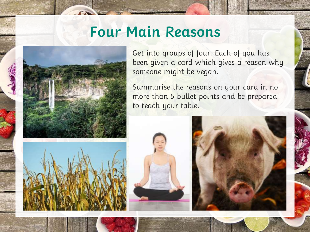#### **Four Main Reasons**



Get into groups of four. Each of you has been given a card which gives a reason why someone might be vegan.

Summarise the reasons on your card in no more than 5 bullet points and be prepared to teach your table.

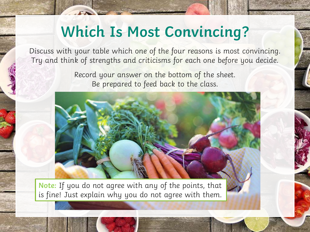### **Which Is Most Convincing?**

Discuss with your table which one of the four reasons is most convincing. Try and think of strengths and criticisms for each one before you decide.

> Record your answer on the bottom of the sheet. Be prepared to feed back to the class.



**Note:** If you do not agree with any of the points, that is fine! Just explain why you do not agree with them.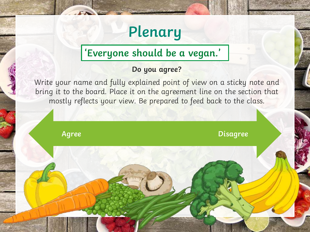## **Plenary**

#### **'Everyone should be a vegan.'**

#### **Do you agree?**

Write your name and fully explained point of view on a sticky note and bring it to the board. Place it on the agreement line on the section that mostly reflects your view. Be prepared to feed back to the class.

**Agree Disagree Disagree**